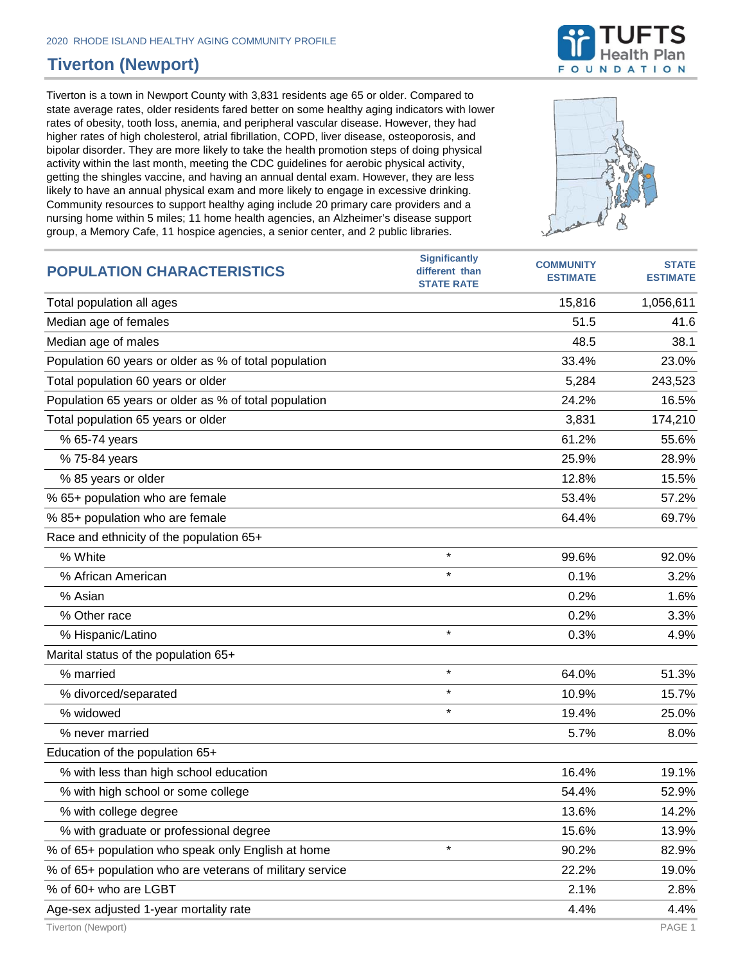## **Tiverton (Newport)**

Tiverton is a town in Newport County with 3,831 residents age 65 or older. Compared to state average rates, older residents fared better on some healthy aging indicators with lower rates of obesity, tooth loss, anemia, and peripheral vascular disease. However, they had higher rates of high cholesterol, atrial fibrillation, COPD, liver disease, osteoporosis, and bipolar disorder. They are more likely to take the health promotion steps of doing physical activity within the last month, meeting the CDC guidelines for aerobic physical activity, getting the shingles vaccine, and having an annual dental exam. However, they are less likely to have an annual physical exam and more likely to engage in excessive drinking. Community resources to support healthy aging include 20 primary care providers and a nursing home within 5 miles; 11 home health agencies, an Alzheimer's disease support



| nursing nome within 5 miles; 11 nome health agencies, an Alzheimer's disease support<br>group, a Memory Cafe, 11 hospice agencies, a senior center, and 2 public libraries. |                                                             | Sachen<br>PL,                       |                                              |
|-----------------------------------------------------------------------------------------------------------------------------------------------------------------------------|-------------------------------------------------------------|-------------------------------------|----------------------------------------------|
| <b>POPULATION CHARACTERISTICS</b>                                                                                                                                           | <b>Significantly</b><br>different than<br><b>STATE RATE</b> | <b>COMMUNITY</b><br><b>ESTIMATE</b> | <b>STATE</b><br><b>ESTIMATE</b>              |
| Total population all ages                                                                                                                                                   |                                                             | 15,816                              | 1,056,611                                    |
| Median age of females                                                                                                                                                       |                                                             | 51.5                                | 41.6                                         |
| Median age of males                                                                                                                                                         |                                                             | 48.5                                | 38.1                                         |
| Population 60 years or older as % of total population                                                                                                                       |                                                             | 33.4%                               | 23.0%                                        |
| Total population 60 years or older                                                                                                                                          |                                                             | 5,284                               | 243,523                                      |
| Population 65 years or older as % of total population                                                                                                                       |                                                             | 24.2%                               | 16.5%                                        |
| Total population 65 years or older                                                                                                                                          |                                                             | 3,831                               | 174,210                                      |
| % 65-74 years                                                                                                                                                               |                                                             | 61.2%                               | 55.6%                                        |
| % 75-84 years                                                                                                                                                               |                                                             | 25.9%                               | 28.9%                                        |
| % 85 years or older                                                                                                                                                         |                                                             | 12.8%                               | 15.5%                                        |
| % 65+ population who are female                                                                                                                                             |                                                             | 53.4%                               | 57.2%                                        |
| % 85+ population who are female                                                                                                                                             |                                                             | 64.4%                               | 69.7%                                        |
| Race and ethnicity of the population 65+                                                                                                                                    |                                                             |                                     |                                              |
| % White                                                                                                                                                                     | $\star$                                                     | 99.6%                               | 92.0%                                        |
| % African American                                                                                                                                                          | $\star$                                                     | 0.1%                                | 3.2%                                         |
| % Asian                                                                                                                                                                     |                                                             | 0.2%                                | 1.6%                                         |
| % Other race                                                                                                                                                                |                                                             | 0.2%                                | 3.3%                                         |
| % Hispanic/Latino                                                                                                                                                           | $\star$                                                     | 0.3%                                | 4.9%                                         |
| Marital status of the population 65+                                                                                                                                        |                                                             |                                     |                                              |
| % married                                                                                                                                                                   | $\star$                                                     | 64.0%                               | 51.3%                                        |
| % divorced/separated                                                                                                                                                        | $\star$                                                     | 10.9%                               | 15.7%                                        |
| % widowed                                                                                                                                                                   | $\star$                                                     | 19.4%                               | 25.0%                                        |
| % never married                                                                                                                                                             |                                                             | 5.7%                                | 8.0%                                         |
| Education of the population 65+                                                                                                                                             |                                                             |                                     |                                              |
| % with less than high school education                                                                                                                                      |                                                             | 16.4%                               | 19.1%                                        |
| % with high school or some college                                                                                                                                          |                                                             | 54.4%                               | 52.9%                                        |
| والمستمر والمستمر والمستمر والإنبان الالا                                                                                                                                   |                                                             | 10.001                              | $\overline{A}$ $\overline{A}$ $\overline{D}$ |

% with high school or some college  $54.4\%$   $52.9\%$ % with college degree 14.2% % with graduate or professional degree 15.6% 13.9% % of 65+ population who speak only English at home  $\overline{a}$  \*  $\overline{a}$  90.2% 82.9% % of 65+ population who are veterans of military service 22.2% 22.2% 19.0% % of 60+ who are LGBT 2.1% 2.8% Age-sex adjusted 1-year mortality rate 4.4% Age-sex adjusted 1-year mortality rate Tiverton (Newport) PAGE 1

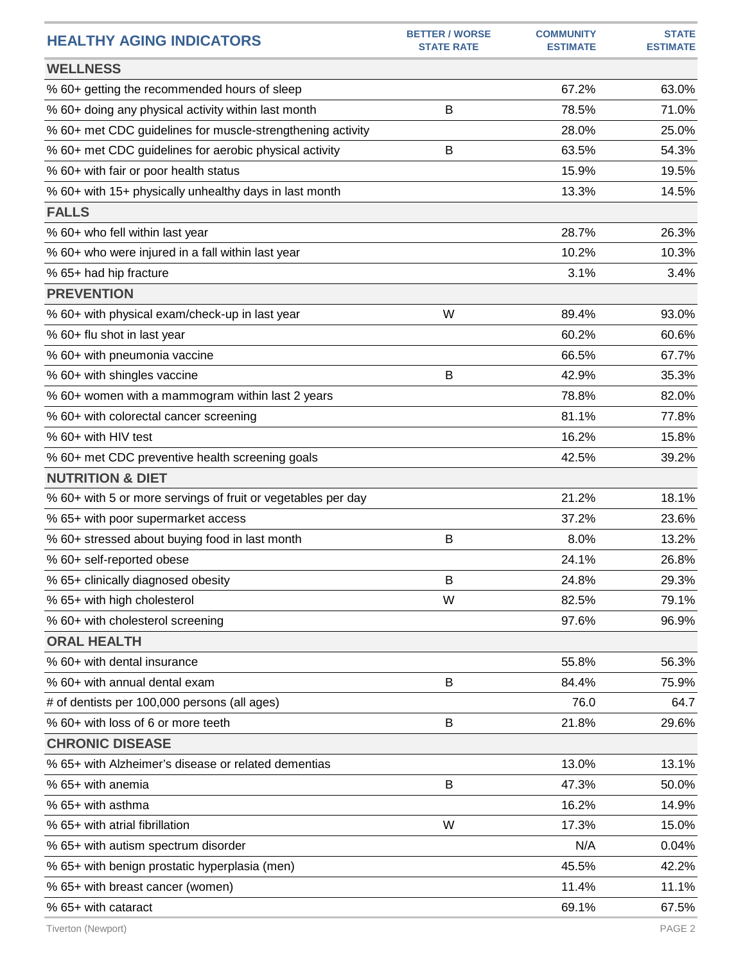| <b>HEALTHY AGING INDICATORS</b>                              | <b>BETTER / WORSE</b><br><b>STATE RATE</b> | <b>COMMUNITY</b><br><b>ESTIMATE</b> | <b>STATE</b><br><b>ESTIMATE</b> |
|--------------------------------------------------------------|--------------------------------------------|-------------------------------------|---------------------------------|
| <b>WELLNESS</b>                                              |                                            |                                     |                                 |
| % 60+ getting the recommended hours of sleep                 |                                            | 67.2%                               | 63.0%                           |
| % 60+ doing any physical activity within last month          | B                                          | 78.5%                               | 71.0%                           |
| % 60+ met CDC guidelines for muscle-strengthening activity   |                                            | 28.0%                               | 25.0%                           |
| % 60+ met CDC guidelines for aerobic physical activity       | B                                          | 63.5%                               | 54.3%                           |
| % 60+ with fair or poor health status                        |                                            | 15.9%                               | 19.5%                           |
| % 60+ with 15+ physically unhealthy days in last month       |                                            | 13.3%                               | 14.5%                           |
| <b>FALLS</b>                                                 |                                            |                                     |                                 |
| % 60+ who fell within last year                              |                                            | 28.7%                               | 26.3%                           |
| % 60+ who were injured in a fall within last year            |                                            | 10.2%                               | 10.3%                           |
| % 65+ had hip fracture                                       |                                            | 3.1%                                | 3.4%                            |
| <b>PREVENTION</b>                                            |                                            |                                     |                                 |
| % 60+ with physical exam/check-up in last year               | W                                          | 89.4%                               | 93.0%                           |
| % 60+ flu shot in last year                                  |                                            | 60.2%                               | 60.6%                           |
| % 60+ with pneumonia vaccine                                 |                                            | 66.5%                               | 67.7%                           |
| % 60+ with shingles vaccine                                  | B                                          | 42.9%                               | 35.3%                           |
| % 60+ women with a mammogram within last 2 years             |                                            | 78.8%                               | 82.0%                           |
| % 60+ with colorectal cancer screening                       |                                            | 81.1%                               | 77.8%                           |
| % 60+ with HIV test                                          |                                            | 16.2%                               | 15.8%                           |
| % 60+ met CDC preventive health screening goals              |                                            | 42.5%                               | 39.2%                           |
| <b>NUTRITION &amp; DIET</b>                                  |                                            |                                     |                                 |
| % 60+ with 5 or more servings of fruit or vegetables per day |                                            | 21.2%                               | 18.1%                           |
| % 65+ with poor supermarket access                           |                                            | 37.2%                               | 23.6%                           |
| % 60+ stressed about buying food in last month               | B                                          | 8.0%                                | 13.2%                           |
| % 60+ self-reported obese                                    |                                            | 24.1%                               | 26.8%                           |
| % 65+ clinically diagnosed obesity                           | B                                          | 24.8%                               | 29.3%                           |
| % 65+ with high cholesterol                                  | W                                          | 82.5%                               | 79.1%                           |
| % 60+ with cholesterol screening                             |                                            | 97.6%                               | 96.9%                           |
| <b>ORAL HEALTH</b>                                           |                                            |                                     |                                 |
| % 60+ with dental insurance                                  |                                            | 55.8%                               | 56.3%                           |
| % 60+ with annual dental exam                                | B                                          | 84.4%                               | 75.9%                           |
| # of dentists per 100,000 persons (all ages)                 |                                            | 76.0                                | 64.7                            |
| % 60+ with loss of 6 or more teeth                           | B                                          | 21.8%                               | 29.6%                           |
| <b>CHRONIC DISEASE</b>                                       |                                            |                                     |                                 |
| % 65+ with Alzheimer's disease or related dementias          |                                            | 13.0%                               | 13.1%                           |
| % 65+ with anemia                                            | B                                          | 47.3%                               | 50.0%                           |
| % 65+ with asthma                                            |                                            | 16.2%                               | 14.9%                           |
| % 65+ with atrial fibrillation                               | W                                          | 17.3%                               | 15.0%                           |
| % 65+ with autism spectrum disorder                          |                                            | N/A                                 | 0.04%                           |
| % 65+ with benign prostatic hyperplasia (men)                |                                            | 45.5%                               | 42.2%                           |
| % 65+ with breast cancer (women)                             |                                            | 11.4%                               | 11.1%                           |
| % 65+ with cataract                                          |                                            | 69.1%                               | 67.5%                           |
|                                                              |                                            |                                     |                                 |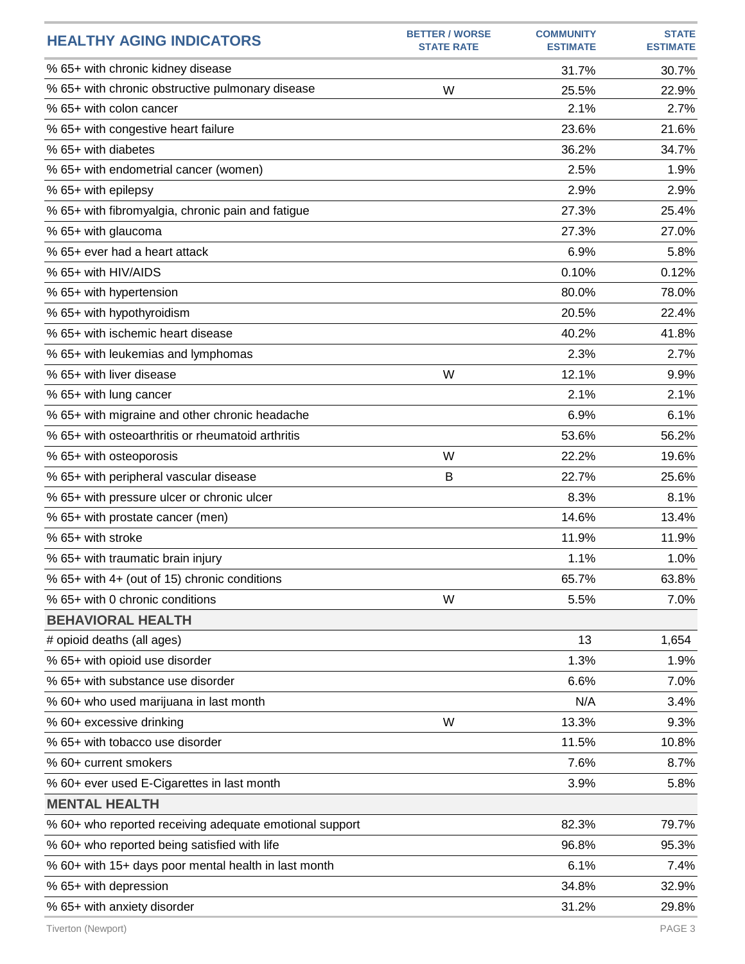| <b>HEALTHY AGING INDICATORS</b>                         | <b>BETTER / WORSE</b><br><b>STATE RATE</b> | <b>COMMUNITY</b><br><b>ESTIMATE</b> | <b>STATE</b><br><b>ESTIMATE</b> |
|---------------------------------------------------------|--------------------------------------------|-------------------------------------|---------------------------------|
| % 65+ with chronic kidney disease                       |                                            | 31.7%                               | 30.7%                           |
| % 65+ with chronic obstructive pulmonary disease        | W                                          | 25.5%                               | 22.9%                           |
| % 65+ with colon cancer                                 |                                            | 2.1%                                | 2.7%                            |
| % 65+ with congestive heart failure                     |                                            | 23.6%                               | 21.6%                           |
| % 65+ with diabetes                                     |                                            | 36.2%                               | 34.7%                           |
| % 65+ with endometrial cancer (women)                   |                                            | 2.5%                                | 1.9%                            |
| % 65+ with epilepsy                                     |                                            | 2.9%                                | 2.9%                            |
| % 65+ with fibromyalgia, chronic pain and fatigue       |                                            | 27.3%                               | 25.4%                           |
| % 65+ with glaucoma                                     |                                            | 27.3%                               | 27.0%                           |
| % 65+ ever had a heart attack                           |                                            | 6.9%                                | 5.8%                            |
| % 65+ with HIV/AIDS                                     |                                            | 0.10%                               | 0.12%                           |
| % 65+ with hypertension                                 |                                            | 80.0%                               | 78.0%                           |
| % 65+ with hypothyroidism                               |                                            | 20.5%                               | 22.4%                           |
| % 65+ with ischemic heart disease                       |                                            | 40.2%                               | 41.8%                           |
| % 65+ with leukemias and lymphomas                      |                                            | 2.3%                                | 2.7%                            |
| % 65+ with liver disease                                | W                                          | 12.1%                               | 9.9%                            |
| % 65+ with lung cancer                                  |                                            | 2.1%                                | 2.1%                            |
| % 65+ with migraine and other chronic headache          |                                            | 6.9%                                | 6.1%                            |
| % 65+ with osteoarthritis or rheumatoid arthritis       |                                            | 53.6%                               | 56.2%                           |
| % 65+ with osteoporosis                                 | W                                          | 22.2%                               | 19.6%                           |
| % 65+ with peripheral vascular disease                  | B                                          | 22.7%                               | 25.6%                           |
| % 65+ with pressure ulcer or chronic ulcer              |                                            | 8.3%                                | 8.1%                            |
| % 65+ with prostate cancer (men)                        |                                            | 14.6%                               | 13.4%                           |
| % 65+ with stroke                                       |                                            | 11.9%                               | 11.9%                           |
| % 65+ with traumatic brain injury                       |                                            | 1.1%                                | 1.0%                            |
| % 65+ with 4+ (out of 15) chronic conditions            |                                            | 65.7%                               | 63.8%                           |
| % 65+ with 0 chronic conditions                         | W                                          | 5.5%                                | 7.0%                            |
| <b>BEHAVIORAL HEALTH</b>                                |                                            |                                     |                                 |
| # opioid deaths (all ages)                              |                                            | 13                                  | 1,654                           |
| % 65+ with opioid use disorder                          |                                            | 1.3%                                | 1.9%                            |
| % 65+ with substance use disorder                       |                                            | 6.6%                                | 7.0%                            |
| % 60+ who used marijuana in last month                  |                                            | N/A                                 | 3.4%                            |
| % 60+ excessive drinking                                | W                                          | 13.3%                               | 9.3%                            |
| % 65+ with tobacco use disorder                         |                                            | 11.5%                               | 10.8%                           |
| % 60+ current smokers                                   |                                            | 7.6%                                | 8.7%                            |
| % 60+ ever used E-Cigarettes in last month              |                                            | 3.9%                                | 5.8%                            |
| <b>MENTAL HEALTH</b>                                    |                                            |                                     |                                 |
| % 60+ who reported receiving adequate emotional support |                                            | 82.3%                               | 79.7%                           |
| % 60+ who reported being satisfied with life            |                                            | 96.8%                               | 95.3%                           |
| % 60+ with 15+ days poor mental health in last month    |                                            | 6.1%                                | 7.4%                            |
| % 65+ with depression                                   |                                            | 34.8%                               | 32.9%                           |
| % 65+ with anxiety disorder                             |                                            | 31.2%                               | 29.8%                           |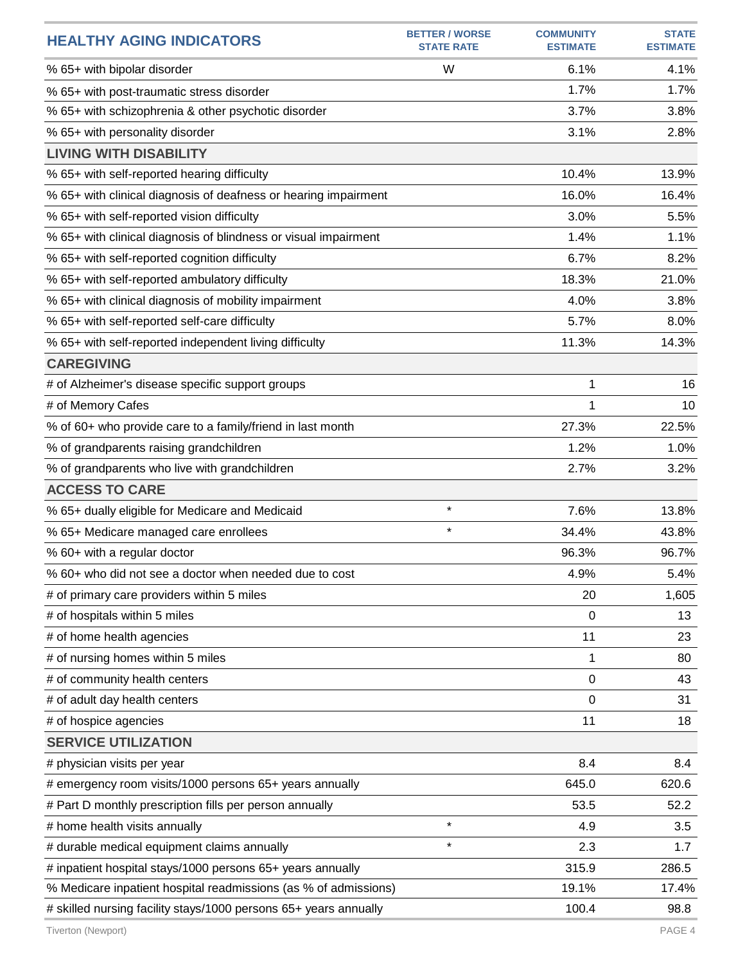| <b>HEALTHY AGING INDICATORS</b>                                  | <b>BETTER / WORSE</b><br><b>STATE RATE</b> | <b>COMMUNITY</b><br><b>ESTIMATE</b> | <b>STATE</b><br><b>ESTIMATE</b> |
|------------------------------------------------------------------|--------------------------------------------|-------------------------------------|---------------------------------|
| % 65+ with bipolar disorder                                      | W                                          | 6.1%                                | 4.1%                            |
| % 65+ with post-traumatic stress disorder                        |                                            | 1.7%                                | 1.7%                            |
| % 65+ with schizophrenia & other psychotic disorder              |                                            | 3.7%                                | 3.8%                            |
| % 65+ with personality disorder                                  |                                            | 3.1%                                | 2.8%                            |
| <b>LIVING WITH DISABILITY</b>                                    |                                            |                                     |                                 |
| % 65+ with self-reported hearing difficulty                      |                                            | 10.4%                               | 13.9%                           |
| % 65+ with clinical diagnosis of deafness or hearing impairment  |                                            | 16.0%                               | 16.4%                           |
| % 65+ with self-reported vision difficulty                       |                                            | 3.0%                                | 5.5%                            |
| % 65+ with clinical diagnosis of blindness or visual impairment  |                                            | 1.4%                                | 1.1%                            |
| % 65+ with self-reported cognition difficulty                    |                                            | 6.7%                                | 8.2%                            |
| % 65+ with self-reported ambulatory difficulty                   |                                            | 18.3%                               | 21.0%                           |
| % 65+ with clinical diagnosis of mobility impairment             |                                            | 4.0%                                | 3.8%                            |
| % 65+ with self-reported self-care difficulty                    |                                            | 5.7%                                | 8.0%                            |
| % 65+ with self-reported independent living difficulty           |                                            | 11.3%                               | 14.3%                           |
| <b>CAREGIVING</b>                                                |                                            |                                     |                                 |
| # of Alzheimer's disease specific support groups                 |                                            | 1                                   | 16                              |
| # of Memory Cafes                                                |                                            | 1                                   | 10                              |
| % of 60+ who provide care to a family/friend in last month       |                                            | 27.3%                               | 22.5%                           |
| % of grandparents raising grandchildren                          |                                            | 1.2%                                | 1.0%                            |
| % of grandparents who live with grandchildren                    |                                            | 2.7%                                | 3.2%                            |
| <b>ACCESS TO CARE</b>                                            |                                            |                                     |                                 |
| % 65+ dually eligible for Medicare and Medicaid                  | $\star$                                    | 7.6%                                | 13.8%                           |
| % 65+ Medicare managed care enrollees                            | $\star$                                    | 34.4%                               | 43.8%                           |
| % 60+ with a regular doctor                                      |                                            | 96.3%                               | 96.7%                           |
| % 60+ who did not see a doctor when needed due to cost           |                                            | 4.9%                                | 5.4%                            |
| # of primary care providers within 5 miles                       |                                            | 20                                  | 1,605                           |
| # of hospitals within 5 miles                                    |                                            | 0                                   | 13                              |
| # of home health agencies                                        |                                            | 11                                  | 23                              |
| # of nursing homes within 5 miles                                |                                            | 1                                   | 80                              |
| # of community health centers                                    |                                            | 0                                   | 43                              |
| # of adult day health centers                                    |                                            | 0                                   | 31                              |
| # of hospice agencies                                            |                                            | 11                                  | 18                              |
| <b>SERVICE UTILIZATION</b>                                       |                                            |                                     |                                 |
| # physician visits per year                                      |                                            | 8.4                                 | 8.4                             |
| # emergency room visits/1000 persons 65+ years annually          |                                            | 645.0                               | 620.6                           |
| # Part D monthly prescription fills per person annually          |                                            | 53.5                                | 52.2                            |
| # home health visits annually                                    | $\star$                                    | 4.9                                 | 3.5                             |
| # durable medical equipment claims annually                      | $\star$                                    | 2.3                                 | 1.7                             |
| # inpatient hospital stays/1000 persons 65+ years annually       |                                            | 315.9                               | 286.5                           |
| % Medicare inpatient hospital readmissions (as % of admissions)  |                                            | 19.1%                               | 17.4%                           |
| # skilled nursing facility stays/1000 persons 65+ years annually |                                            | 100.4                               | 98.8                            |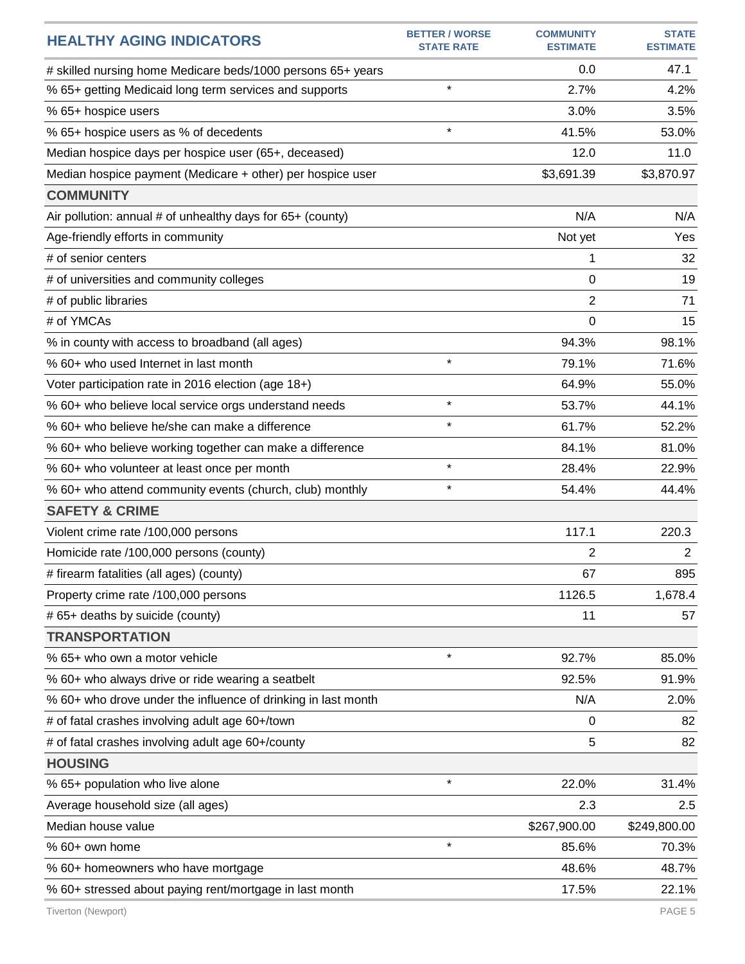| <b>HEALTHY AGING INDICATORS</b>                               | <b>BETTER / WORSE</b><br><b>STATE RATE</b> | <b>COMMUNITY</b><br><b>ESTIMATE</b> | <b>STATE</b><br><b>ESTIMATE</b> |
|---------------------------------------------------------------|--------------------------------------------|-------------------------------------|---------------------------------|
| # skilled nursing home Medicare beds/1000 persons 65+ years   |                                            | 0.0                                 | 47.1                            |
| % 65+ getting Medicaid long term services and supports        | $\star$                                    | 2.7%                                | 4.2%                            |
| % 65+ hospice users                                           |                                            | 3.0%                                | 3.5%                            |
| % 65+ hospice users as % of decedents                         | $\star$                                    | 41.5%                               | 53.0%                           |
| Median hospice days per hospice user (65+, deceased)          |                                            | 12.0                                | 11.0                            |
| Median hospice payment (Medicare + other) per hospice user    |                                            | \$3,691.39                          | \$3,870.97                      |
| <b>COMMUNITY</b>                                              |                                            |                                     |                                 |
| Air pollution: annual # of unhealthy days for 65+ (county)    |                                            | N/A                                 | N/A                             |
| Age-friendly efforts in community                             |                                            | Not yet                             | Yes                             |
| # of senior centers                                           |                                            | 1                                   | 32                              |
| # of universities and community colleges                      |                                            | 0                                   | 19                              |
| # of public libraries                                         |                                            | 2                                   | 71                              |
| # of YMCAs                                                    |                                            | 0                                   | 15                              |
| % in county with access to broadband (all ages)               |                                            | 94.3%                               | 98.1%                           |
| % 60+ who used Internet in last month                         | $\star$                                    | 79.1%                               | 71.6%                           |
| Voter participation rate in 2016 election (age 18+)           |                                            | 64.9%                               | 55.0%                           |
| % 60+ who believe local service orgs understand needs         | $\star$                                    | 53.7%                               | 44.1%                           |
| % 60+ who believe he/she can make a difference                | $\star$                                    | 61.7%                               | 52.2%                           |
| % 60+ who believe working together can make a difference      |                                            | 84.1%                               | 81.0%                           |
| % 60+ who volunteer at least once per month                   | $\star$                                    | 28.4%                               | 22.9%                           |
| % 60+ who attend community events (church, club) monthly      | $\star$                                    | 54.4%                               | 44.4%                           |
| <b>SAFETY &amp; CRIME</b>                                     |                                            |                                     |                                 |
| Violent crime rate /100,000 persons                           |                                            | 117.1                               | 220.3                           |
| Homicide rate /100,000 persons (county)                       |                                            | 2                                   | $\overline{2}$                  |
| # firearm fatalities (all ages) (county)                      |                                            | 67                                  | 895                             |
| Property crime rate /100,000 persons                          |                                            | 1126.5                              | 1,678.4                         |
| # 65+ deaths by suicide (county)                              |                                            | 11                                  | 57                              |
| <b>TRANSPORTATION</b>                                         |                                            |                                     |                                 |
| % 65+ who own a motor vehicle                                 | $\star$                                    | 92.7%                               | 85.0%                           |
| % 60+ who always drive or ride wearing a seatbelt             |                                            | 92.5%                               | 91.9%                           |
| % 60+ who drove under the influence of drinking in last month |                                            | N/A                                 | 2.0%                            |
| # of fatal crashes involving adult age 60+/town               |                                            | 0                                   | 82                              |
| # of fatal crashes involving adult age 60+/county             |                                            | 5                                   | 82                              |
| <b>HOUSING</b>                                                |                                            |                                     |                                 |
| % 65+ population who live alone                               | $\star$                                    | 22.0%                               | 31.4%                           |
| Average household size (all ages)                             |                                            | 2.3                                 | 2.5                             |
| Median house value                                            |                                            | \$267,900.00                        | \$249,800.00                    |
| % 60+ own home                                                | $\star$                                    | 85.6%                               | 70.3%                           |
| % 60+ homeowners who have mortgage                            |                                            | 48.6%                               | 48.7%                           |
| % 60+ stressed about paying rent/mortgage in last month       |                                            | 17.5%                               | 22.1%                           |
| Tiverton (Newport)                                            |                                            |                                     | PAGE 5                          |